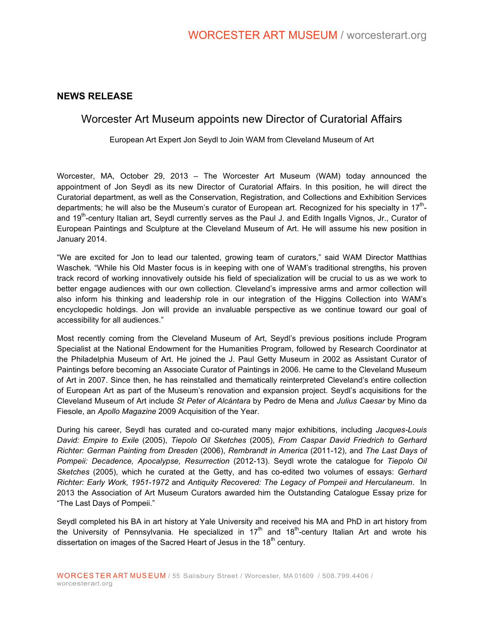### **NEWS RELEASE**

## Worcester Art Museum appoints new Director of Curatorial Affairs

European Art Expert Jon Seydl to Join WAM from Cleveland Museum of Art

Worcester, MA, October 29, 2013 – The Worcester Art Museum (WAM) today announced the appointment of Jon Seydl as its new Director of Curatorial Affairs. In this position, he will direct the Curatorial department, as well as the Conservation, Registration, and Collections and Exhibition Services departments; he will also be the Museum's curator of European art. Recognized for his specialty in 17<sup>th</sup>and 19<sup>th</sup>-century Italian art, Seydl currently serves as the Paul J. and Edith Ingalls Vignos, Jr., Curator of European Paintings and Sculpture at the Cleveland Museum of Art. He will assume his new position in January 2014.

"We are excited for Jon to lead our talented, growing team of curators," said WAM Director Matthias Waschek. "While his Old Master focus is in keeping with one of WAM's traditional strengths, his proven track record of working innovatively outside his field of specialization will be crucial to us as we work to better engage audiences with our own collection. Cleveland's impressive arms and armor collection will also inform his thinking and leadership role in our integration of the Higgins Collection into WAM's encyclopedic holdings. Jon will provide an invaluable perspective as we continue toward our goal of accessibility for all audiences."

Most recently coming from the Cleveland Museum of Art, Seydl's previous positions include Program Specialist at the National Endowment for the Humanities Program, followed by Research Coordinator at the Philadelphia Museum of Art. He joined the J. Paul Getty Museum in 2002 as Assistant Curator of Paintings before becoming an Associate Curator of Paintings in 2006. He came to the Cleveland Museum of Art in 2007. Since then, he has reinstalled and thematically reinterpreted Cleveland's entire collection of European Art as part of the Museum's renovation and expansion project. Seydl's acquisitions for the Cleveland Museum of Art include *St Peter of Alcántara* by Pedro de Mena and *Julius Caesar* by Mino da Fiesole, an *Apollo Magazine* 2009 Acquisition of the Year.

During his career, Seydl has curated and co-curated many major exhibitions, including *Jacques-Louis David: Empire to Exile* (2005), *Tiepolo Oil Sketches* (2005), *From Caspar David Friedrich to Gerhard Richter: German Painting from Dresden* (2006), *Rembrandt in America* (2011-12), and *The Last Days of Pompeii: Decadence, Apocalypse, Resurrection* (2012-13). Seydl wrote the catalogue for *Tiepolo Oil Sketches* (2005), which he curated at the Getty, and has co-edited two volumes of essays: *Gerhard Richter: Early Work, 1951-1972* and *Antiquity Recovered: The Legacy of Pompeii and Herculaneum*. In 2013 the Association of Art Museum Curators awarded him the Outstanding Catalogue Essay prize for "The Last Days of Pompeii."

Seydl completed his BA in art history at Yale University and received his MA and PhD in art history from the University of Pennsylvania. He specialized in  $17<sup>th</sup>$  and  $18<sup>th</sup>$ -century Italian Art and wrote his dissertation on images of the Sacred Heart of Jesus in the 18<sup>th</sup> century.